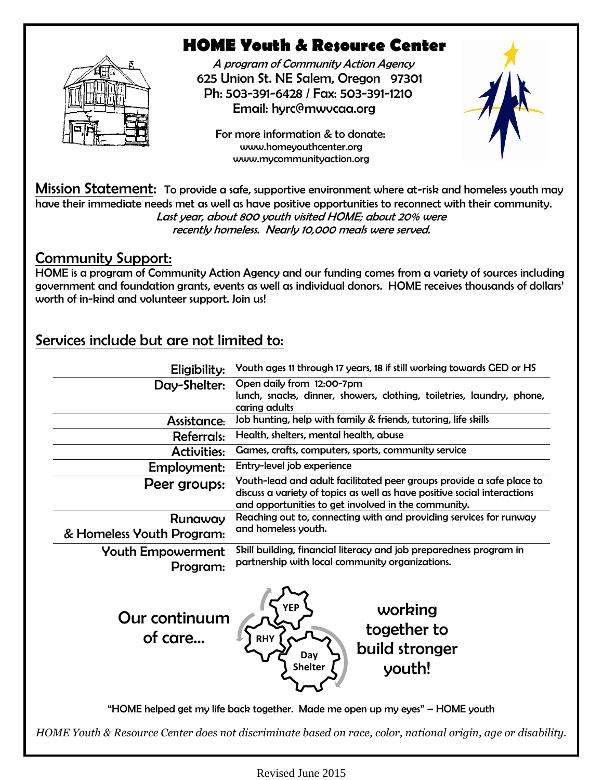

# **HOME Youth & Resource Center**

 A program of Community Action Agency 625 Union St. NE Salem, Oregon 97301 Ph: 503-391-6428 / Fax: 503-391-1210 [Email: hyrc@mwvcaa.org](mailto:Email:%20hyrc@mwvcaa.org)

 For more information & to donate: [www.homeyouthcenter.org](http://www.homeyouthcenter.org/) [www.mycommunityaction.org](http://www.mycommunityaction.org/)



Mission Statement: To provide a safe, supportive environment where at-risk and homeless youth may have their immediate needs met as well as have positive opportunities to reconnect with their community. Last year, about 800 youth visited HOME; about 20% were recently homeless. Nearly 10,000 meals were served.

#### Community Support:

HOME is a program of Community Action Agency and our funding comes from a variety of sources including government and foundation grants, events as well as individual donors. HOME receives thousands of dollars' worth of in-kind and volunteer support. Join us!

## Services include but are not limited to:

| Eligibility:                         | Youth ages 11 through 17 years, 18 if still working towards GED or HS                                                                                                                                   |
|--------------------------------------|---------------------------------------------------------------------------------------------------------------------------------------------------------------------------------------------------------|
| Day-Shelter:                         | Open daily from 12:00-7pm<br>lunch, snacks, dinner, showers, clothing, toiletries, laundry, phone,<br>caring adults                                                                                     |
| Assistance:                          | Job hunting, help with family & friends, tutoring, life skills                                                                                                                                          |
| <b>Referrals:</b>                    | Health, shelters, mental health, abuse                                                                                                                                                                  |
| <b>Activities:</b>                   | Games, crafts, computers, sports, community service                                                                                                                                                     |
| Employment:                          | Entry-level job experience                                                                                                                                                                              |
| Peer groups:                         | Youth-lead and adult facilitated peer groups provide a safe place to<br>discuss a variety of topics as well as have positive social interactions<br>and opportunities to get involved in the community. |
| Runaway                              | Reaching out to, connecting with and providing services for runway                                                                                                                                      |
| & Homeless Youth Program:            | and homeless youth.                                                                                                                                                                                     |
| <b>Youth Empowerment</b><br>Program: | Skill building, financial literacy and job preparedness program in<br>partnership with local community organizations.                                                                                   |
| Our continuum<br>of care             | working<br>together to<br>RH۱<br>build stronger<br>Day<br><b>Shelter</b><br>youth!                                                                                                                      |
|                                      | "HOME helped get my life back together. Made me open up my eyes" - HOME youth                                                                                                                           |
|                                      | HOME Youth & Resource Center does not discriminate based on race, color, national origin, age or disability.                                                                                            |